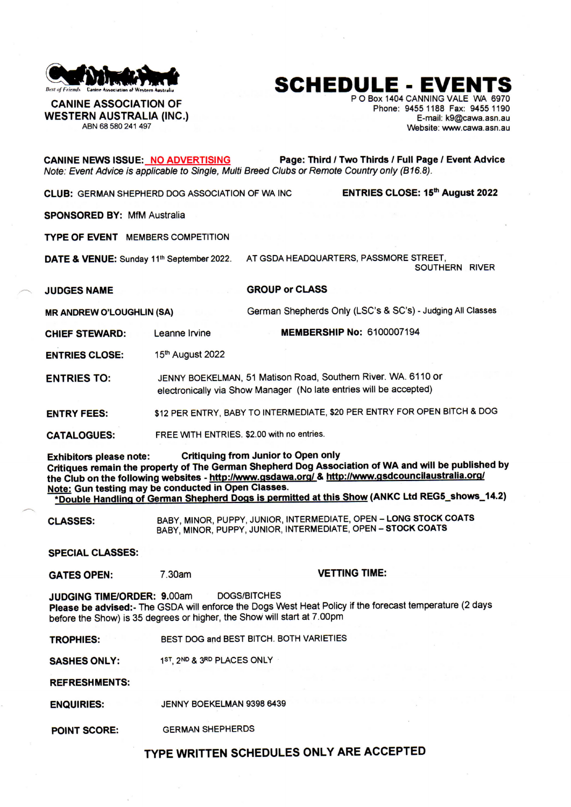

**SCHEDULE - EVENTS** 

**WESTERN AUSTRALIA (INC.)**<br>ABN 68 580 241 497

**CANINE ASSOCIATION OF**  $P$  O Box 1404 CANNING VALE WA 6970 **i** Phone: 9455 1188 Fax: 9455 1190<br>E-mail: k9@cawa.asn.au Website: www.cawa.asn.au

**CANINE NEWS ISSUE: NO ADVERTISING Page: Third / Two Thirds / Full Page / Event Advice**  *Note: Event Advice is applicable to Single, Multi Breed Clubs or Remote Country only (B16.8).*  **CLUB:** GERMAN SHEPHERD DOG ASSOCIATION OF WA INC **ENTRIES CLOSE: 15<sup>th</sup> August 2022 SPONSORED BY:** MfM Australia **TYPE OF EVENT** MEMBERS COMPETITION **DATE & VENUE:** Sunday 11<sup>th</sup> September 2022. AT GSDA HEADQUARTERS, PASSMORE STREET, SOUTHERN RIVER **JUDGES NAME MR ANDREW O'LOUGHLIN (SA) CHIEF STEWARD:** Leanne Irvine **GROUP or CLASS**  German Shepherds Only (LSC's & SC's) - Judging All Classes **MEMBERSHIP No:** 6100007194 **ENTRIES CLOSE: ENTRIES TO: ENTRY FEES : CATALOGUES:**  15<sup>th</sup> August 2022 JENNY BOEKELMAN, 51 Matison Road, Southern River. WA. 6110 or electronically via Show Manager (No late entries will be accepted) \$12 PER ENTRY, BABY TO INTERMEDIATE, \$20 PER ENTRY FOR OPEN BITCH & DOG **FREE WITH ENTRIES. \$2.00 with no entries. Exhibitors please note: Critiquing from Junior to Open only Critiques remain the property of The German Shepherd Dog Association of WA and will be published by**  the Club on the following websites - http://www.gsdawa.org/ & http://www.gsdcouncilaustralia.org/ **Note: Gun testing may be conducted in Open Classes. \*Double Handling of German Shepherd Poos is permitted at this Show (ANKC Ltd REG5\_shows\_14.2) CLASSES: SPECIAL CLASSES: GATES OPEN:**  BABY, MINOR, PUPPY, JUNIOR, INTERMEDIATE, OPEN - **LONG STOCK COATS**  BABY, MINOR, PUPPY, JUNIOR, INTERMEDIATE, OPEN - **STOCK COATS**  7.30am **VETTING TIME: JUDGING TIME/ORDER: 9.00am DOGS/BITCHES Please be advised:-** The GSDA will enforce the Dogs West Heat Policy if the forecast temperature (2 days before the Show) is 35 degrees or higher, the Show will start at 7.00pm **TROPHIES: SASHES ONLY: REFRESHMENTS: ENQUIRIES:**  BEST DOG and BEST BITCH. BOTH VARIETIES 1<sup>ST</sup>, 2<sup>ND</sup> & 3RD PLACES ONLY JENNY BOEKELMAN 9398 6439 **POINT SCORE: GERMAN SHEPHERDS TYPE WRITTEN SCHEDULES ONLY ARE ACCEPTED**